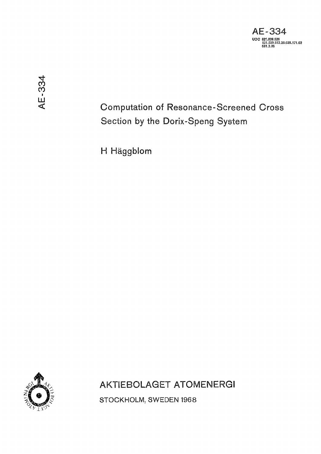

Computation of Resonance-Screened Cross Section by the Dorix-Speng System

H Häggblom



AKTIEBOLAGET ATOMENERGI

STOCKHOLM, SWEDEN 1968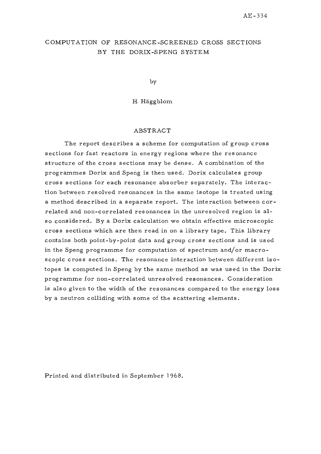## COMPUTATION OF RESONANCE-SCREENED CROSS SECTIONS BY THE DORIX-SPENG SYSTEM

by

H Häggblom

#### ABSTRACT

The report describes a scheme for computation of group cross sections for fast reactors in energy regions where the resonance structure of the cross sections may be dense. A combination of the programmes Dorix and Speng is then used. Dorix calculates group cross sections for each resonance absorber separately. The interaction between resolved resonances in the same isotope is treated using a method described in a separate report. The interaction between correlated and non-correlated resonances in the unresolved region is also considered. By a Dorix calculation we obtain effective microscopic cross sections which are then read in on a library tape. This library contains both point-by-point data and group cross sections and is used in the Speng programme for computation of spectrum and/or macroscopic cross sections. The resonance interaction between different isotopes is computed in Speng by the same method as was used in the Dorix programme for non-correlated unresolved resonances. Consideration is also given to the width of the resonances compared to the energy loss by a neutron colliding with some of the scattering elements.

Printed and distributed in September 1968.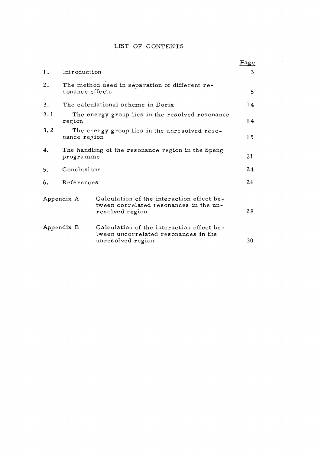### LIST OF CONTENTS

 $\mathcal{L}^{\text{max}}_{\text{max}}$ 

|                |                                                                   |                                                                                                        | Page |
|----------------|-------------------------------------------------------------------|--------------------------------------------------------------------------------------------------------|------|
| $\mathbf{1}$ . | Introduction                                                      |                                                                                                        |      |
| 2.             | The method used in separation of different re-<br>sonance effects |                                                                                                        |      |
| 3.             | The calculational scheme in Dorix                                 |                                                                                                        |      |
| 3.1            | The energy group lies in the resolved resonance<br>region         |                                                                                                        | 14   |
| 3.2            | The energy group lies in the unresolved reso-<br>nance region     |                                                                                                        | 15   |
| 4.             | The handling of the resonance region in the Speng<br>programme    |                                                                                                        | 21   |
| 5.             | Conclusions                                                       |                                                                                                        | 24   |
| 6.             | References                                                        |                                                                                                        | 26   |
| Appendix A     |                                                                   | Calculation of the interaction effect be-<br>tween correlated resonances in the un-<br>resolved region | 28   |
| Appendix B     |                                                                   | Calculation of the interaction effect be-<br>tween uncorrelated resonances in the<br>unresolved region | 30   |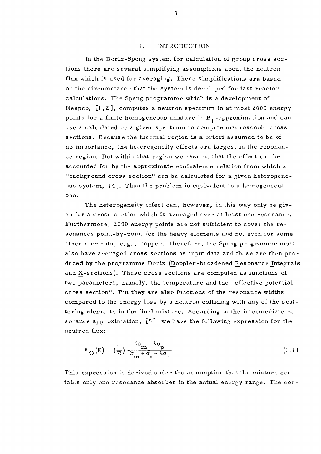#### 1. INTRODUCTION

In the Dorix-Speng system for calculation of group cross sec tions there are several simplifying assumptions about the neutron flux which is used for averaging. These simplifications are based on the circumstance that the system is developed for fast reactor calculations. The Speng programme which is a development of Nespco, [1,2], computes a neutron spectrum in at most 2000 energy points for a finite homogeneous mixture in  $B_1$ -approximation and can use a calculated or a given spectrum to compute macroscopic cross sections. Because the thermal region is a priori assumed to be of no importance, the heterogeneity effects are largest in the resonance region. But within that region we assume that the effect can be accounted for by the approximate equivalence relation from which a "background cross section" can be calculated for a given heterogene ous system, [4]. Thus the problem is equivalent to a homogeneous one.

The heterogeneity effect can, however, in this way only be given for a cross section which is averaged over at least *one* resonance . Furthermore, 2000 energy points are not sufficient to cover the resonances point-by-point for the heavy elements and not even for some other elements, e.g. , copper. Therefore, the Speng programme must also have averaged cross sections as input data and these are then produced by the programme Dorix (Doppler-broadened Resonance Integrals and X-sections). These cross sections are computed as functions of two parameters, namely, the temperature and the "effective potential cross section". But they are also functions of the resonance widths compared to the energy loss by a neutron colliding with any of the scattering elements in the final mixture. According to the intermediate resonance approximation, [5], we have the following expression for the neutron flux:

$$
\Phi_{K\lambda}(E) = \left(\frac{1}{E}\right) \frac{{}^{K}\sigma_{m} + \lambda \sigma_{p}}{{}^{K}\sigma_{m} + \sigma_{a} + \lambda \sigma_{s}}
$$
\n(1.1)

This expression is derived under the assumption that the mixture contains only one resonance absorber in the actual energy range. The cor-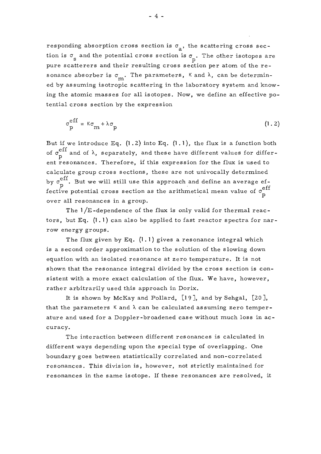responding absorption cross section is  $\sigma_{\rm a}$ , the scattering cross section is  $\sigma_{\rm s}$  and the potential cross section is  $\sigma_{\rm p}$ . The other isotopes are pure scatterers and their resulting cross section per atom of the resonance absorber is  $\sigma_m$ . The parameters,  $\kappa$  and  $\lambda$ , can be determined by assuming isotropic scattering in the laboratory system and know- $\mathbf{r}$ . ing the atomic masses for an hotopes. How, we define an encerve potential cross section by the expression

$$
\sigma_p^{\text{eff}} = \kappa \sigma_m + \lambda \sigma_p \tag{1.2}
$$

But if we introduce Eq.  $(1.2)$  into Eq.  $(1.1)$ , the flux is a function both eff of  $\sigma$  and of  $\kappa$ , separately, and these have different values for different resonances. Therefore, if this expression for the flux is used to calculate group cross sections, these are not univocally determined by  $\sigma_p^{\text{eff}}$ . But we will still use this approach and define an average ef-<br>fective potential areas section as the arithmetical mean value of  $\sigma^{\text{eff}}$ fective potential cross section as the arithmetical mean value of a

The  $1/E$ -dependence of the flux is only valid for thermal reactors, but Eq.  $(1.1)$  can also be applied to fast reactor spectra for narrow energy groups.

The flux given by Eq.  $(1.1)$  gives a resonance integral which is a second order approximation to the solution of the slowing down equation with an isolated resonance at zero temperature. It is not shown that the resonance integral divided by the cross section is consistent with a more exact calculation of the flux. We have, however, rather arbitrarily used this approach in Dorix.

It is shown by McKay and Pollard,  $[19]$ , and by Sehgal,  $[20]$ , that the parameters  $K$  and  $\lambda$  can be calculated assuming zero temperature and used for a Doppler-broadened case without much loss in acature and used for a Doppler-broadened case with loss in activities with loss in activities with loss in activ<br>The case with loss in activities with loss in activities with loss in activities with loss in activities with

curacy.<br>Curacy different ways depending upon the special type of overlapping. One boundary goes between statistically correlated and non-correlated resonances. This division is, however, not strictly maintained for resonances in the same isotope. If these resonances are resolved, it resonances in the same isotope. If these resonances ar e resolved, it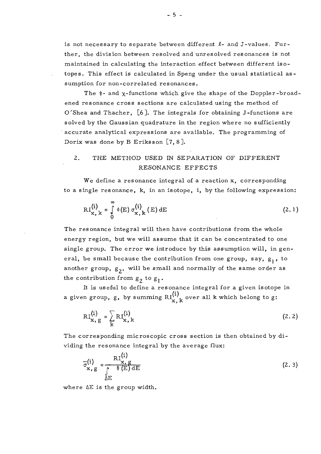is not necessary to separate between different  $l$ - and J-values. Further, the division between resolved and unresolved resonances is not maintained in calculating the interaction effect between different iso topes. This effect is calculated in Speng under the usual statistical assumption for non-correlated resonances.

The  $\psi$ - and  $\chi$ -functions which give the shape of the Doppler-broadened resonance cross sections are calculated using the method of O'Shea and Thacher,  $[6]$ . The integrals for obtaining J-functions are solved by the Gaussian quadrature in the region where no sufficiently accurate analytical expressions are available. The programming of Dorix was done by B Eriksson  $[7, 8]$ .

# 2. THE METHOD USED IN SEPARATION OF DIFFERENT RESONANCE EFFECTS

We define a resonance integral of a reaction x, corresponding to a single resonance, k, in an isotope, i, by the following expression:

$$
RI_{\mathbf{x},k}^{(i)} = \int_{0}^{\infty} \phi(E) \sigma_{\mathbf{x},k}^{(i)}(E) dE
$$
 (2.1)

The resonance integral will then have contributions from the whole energy region, but we will assume that it can be concentrated to one single group. The error we introduce by this assumption will, in general, be small because the contribution from one group, say, g<sub>1</sub>, to another group,  $g_2$ , will be small and normally of the same order as the contribution from  $g_2$  to  $g_1$ .

It is useful to define a resonance integral for a given isotope in a given group, g, by summing  $\text{RI}^{11}_{11}$  over all k which belong to g:

**X ,** *K.* 

$$
RI_{\mathbf{x},\mathbf{g}}^{(i)} = \sum_{k} RI_{\mathbf{x},k}^{(i)}
$$
 (2.2)

The corresponding microscopic cross section is then obtained by di-The corresponding microscopi c cross section is then obtained by dividing the resonance integral by the average flux:

$$
\overline{\sigma}_{\mathbf{x},\mathbf{g}}^{(i)} = \frac{\mathrm{R}_{\mathbf{x},\mathbf{g}}^{(i)}}{\int_{\Delta E} \Phi(E) dE}
$$
 (2.3)

where AE is the group width.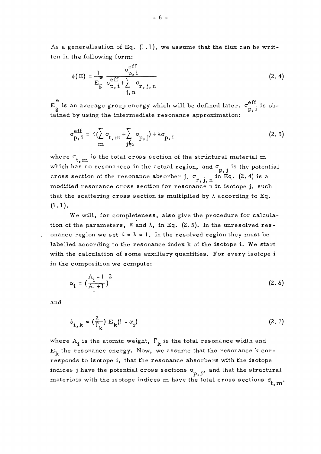As a generalisation of Eq.  $(1.1)$ , we assume that the flux can be written in the following form:

$$
\phi(E) = \frac{1}{E_g} \frac{\sigma_{p,i}^{eff}}{\sigma_{p,i}^{eff} + \sum_{j,n}^{\sigma} \sigma_{r,j,n} (2.4)
$$

\*  $\cdot$  eff is an average group energy which will be defined later  $\sigma$ <sup>eff</sup>  $\mathbf{E}$  is an average group energy which will be defined later, a . is obtained later, a . is obtained later, a . is obtained later, a . is obtained later, a . is obtained later, a . is obtained later, a . is obtained la tained by using the intermediate resonance approximation:

$$
\sigma_{p,i}^{\text{eff}} = \kappa (\sum_{m} \sigma_{t,m} + \sum_{j \neq i} \sigma_{p,j}) + \lambda \sigma_{p,i}
$$
 (2.5)

where  $\sigma_{t,m}$  is the total cross section of the structural material m د . .<br>محمد which has no resonances in the actual region, and  $p, j = \text{true}$  potential  $p$ . cross section of the resonance absorber j.  $\sigma_{r,j,n}$  in Eq. (2.4) is a modified resonance cross section for resonance n in isotope j, such that the scattering cross section is multiplied by  $\lambda$  according to Eq.  $(1, 1)$ .

tion of the parameters,  $\kappa$  and  $\lambda$ , in Eq. (2.5). In the unresolved resonance region we set  $K = \lambda = 1$ . In the resolved region they must be labelled according to the resonance index k of the isotope i. We start with the calculation of some auxiliary quantities. For every isotope i. in the composition we compute:

$$
\alpha_{i} = \left(\frac{A_{i} - 1}{A_{i} + 1}\right)^{2}
$$
 (2.6)

and

$$
\delta_{i,k} = \left(\frac{2}{\Gamma_k}\right) E_k(l - \alpha_i) \tag{2.7}
$$

where  $A_i$  is the atomic weight,  $\Gamma_k$  is the total resonance width and  $E_k$  the resonance energy. Now, we assume that the resonance k corresponds to isotope i, that the resonance absorbers with the isotope indices j have the potential cross sections  $\sigma_{p, j}$ , and that the structural materials with the isotope indices m have the total cross sections  $\sigma_{\epsilon}$ *r*<sub>1</sub> m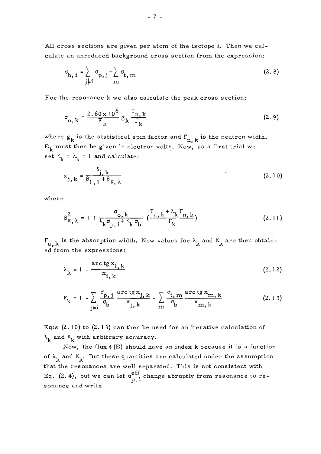All cross sections are given per atom of the isotope i. Then we calculate an unreduced background cross section from the expression:

$$
\sigma_{\mathbf{b},i} = \sum_{j \neq i} \sigma_{\mathbf{p},j} + \sum_{m} \sigma_{\mathbf{t},m}
$$
 (2.8)

 $F_{\rm eff}$  or the resonance extension extension  $\mathbf{r}$ 

$$
\sigma_{o,k} = \frac{2.60 \times 10^6}{E_k} g_k \frac{\Gamma_{n,k}}{\Gamma_k}
$$
 (2.9)

where  $g_k$  is the statistical spin factor and  $\Gamma_{n,k}$  is the neutron width.  $E_k$  must then be given in electron volts. Now, as a first trial we set  $K_k = \lambda_k = 1$  and calculate:

$$
\mathbf{x}_{j,k} = \frac{\delta_{j,k}}{\beta_{l,1} + \beta_{k,\lambda}}
$$
 (2.10)

wher e

$$
\beta_{K,\lambda}^2 = 1 + \frac{\sigma_{o,k}}{\lambda_k \sigma_{p,i} + \kappa_k \sigma_b} \left( \frac{\Gamma_{a,k} + \lambda_k \Gamma_{n,k}}{\Gamma_k} \right)
$$
 (2.11)

 $\Gamma_{a,k}$  is the absorption width. New values for  $\lambda_k$  and  $\kappa_k$  are then obtained from the expressions:

$$
\lambda_{k} = 1 - \frac{\arctg x_{i,k}}{x_{i,k}}
$$
 (2.12)

$$
\kappa_{k} = 1 - \sum_{j \neq i} \frac{\sigma_{p,j}}{\sigma_b} \frac{\text{arc ts } x_{j,k}}{x_{j,k}} - \sum_{m} \frac{\sigma_{t,m}}{\sigma_b} \frac{\text{arc ts } x_{m,k}}{x_{m,k}}
$$
(2.13)

Eq:s  $(2.10)$  to  $(2.13)$  can then be used for an iterative calculation of  $\lambda_{\mathbf{k}}$  and  $\kappa_{\mathbf{k}}$  with arbitrary accuracy.

Now, the flux  $\phi$  (E) should have an index k because it is a function of  $\lambda_{\mathbf{k}}$  and  $\kappa_{\mathbf{k}}$ . But these quantities are calculated under the assumption that the resonances are well separated. This is not consistent with Eq. (2.4), but we can let  $\sigma_-^{c_{11}}$  change abruptly from resonance to re- $\mathbf{p}, \mathbf{1}$ sonance and write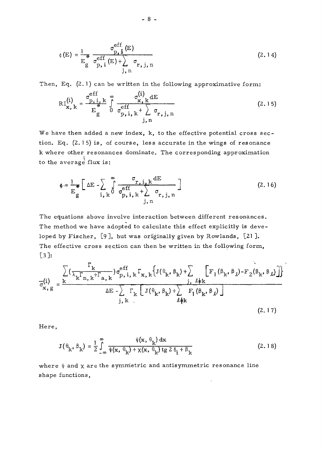$$
\phi(E) = \frac{1}{E_g} \frac{\sigma_{p, i}^{eff}(E)}{\sigma_{p, i}^{eff}(E) + \sum_{j, n}^{\sigma} \sigma_{r, j, n}}
$$
(2.14)

Then, Eq. (2.1) can be written in the following approximative form:

$$
RI_{\mathbf{x},k}^{(i)} = \frac{\sigma_{p,i,k}^{eff}}{E_g^*} \int_{0}^{\infty} \frac{\sigma_{\mathbf{x},k}^{(i)} dE}{\sigma_{p,i,k}^{eff} + \sum_{j,n}^{\sigma} \sigma_{r,j,n}}
$$
(2.15)

We have then added a new index, k, to the effective potential cross section. Eq.  $(2.15)$  is, of course, less accurate in the wings of resonance k where other resonances dominate. The corresponding approximation to the average flux is:

$$
\phi = \frac{1}{E_g} \left[ \Delta E - \sum_{i, k} \int_0^\infty \frac{\sigma_{r, i, k} dE}{\sigma_{p, i, k}^{eff} + \sum_{j, n} \sigma_{r, j, n}} \right]
$$
(2.16)

The equations above involve interaction between different resonances. The method we have adopted to calculate this effect explicitly is developed by Fischer, [9], but was originally given by Rowlands, [21]. The effective cross section can then be written in the following form, [3]:

$$
\frac{\sum_{\mathbf{z}} \left( \frac{\Gamma_{\mathbf{k}}}{\lambda_{\mathbf{k}} \Gamma_{\mathbf{n},\mathbf{k}} + \Gamma_{\mathbf{a},\mathbf{k}}} \right) \sigma_{\mathbf{p},i,\mathbf{k}}^{\text{eff}} \Gamma_{\mathbf{x},\mathbf{k}} \left\{ J(\theta_{\mathbf{k}}, \beta_{\mathbf{k}}) + \sum_{\ell \neq \mathbf{k}} \left[ \mathbf{F}_{\mathbf{l}}(\beta_{\mathbf{k}}, \beta_{\ell}) - \mathbf{F}_{\mathbf{l}}(\beta_{\mathbf{k}}, \beta_{\ell}) \right] \right\}^{\text{def}}
$$
\n
$$
\frac{\partial \mathbf{E}}{\partial \mathbf{E}} - \sum_{\mathbf{j},\mathbf{k}} \Gamma_{\mathbf{k}} \left[ J(\theta_{\mathbf{k}}, \beta_{\mathbf{k}}) + \sum_{\ell \neq \mathbf{k}} \mathbf{F}_{\mathbf{l}}(\beta_{\mathbf{k}}, \beta_{\ell}) \right] \tag{2.17}
$$

 $\mathbf{r}$ 

Here,

$$
J(\theta_k, \beta_k) = \frac{1}{2} \int_{-\infty}^{\infty} \frac{\psi(x, \theta_k) dx}{\psi(x, \theta_k) + \chi(x, \theta_k) \operatorname{tg} 2 \delta_i + \beta_k}
$$
(2.18)

where  $\psi$  and  $\chi$  are the symmetric and antisymmetric resonance line shape functions,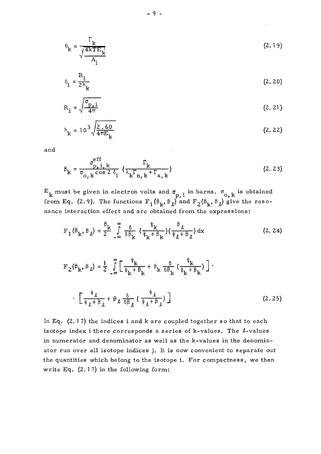$$
\theta_{k} = \frac{\Gamma_{k}}{\sqrt{\frac{4kTE_{k}}{A_{i}}}}
$$
 (2.19)

$$
\delta_{i} = \frac{R_{i}}{2\lambda_{k}} \tag{2.20}
$$

$$
R_{\mathbf{i}} = \sqrt{\frac{\sigma_{p,\mathbf{i}}}{4\pi}} \tag{2.21}
$$

$$
\lambda_{\mathbf{k}} = 10^3 \sqrt{\frac{2.60}{4 \pi E_{\mathbf{k}}}}
$$
 (2.22)

and

$$
\beta_{k} = \frac{\sigma_{p, i, k}^{eff}}{\sigma_{o, k} \cos 2 \delta_{i}} \left( \frac{\Gamma_{k}}{\lambda_{k} \Gamma_{n, k} + \Gamma_{a, k}} \right)
$$
(2.23)

 $E_{\mathbf{k}}$  must be given in electron volts and  $\sigma_{\mathbf{p},i}$  in barns.  $\sigma_{\mathbf{o},\mathbf{k}}$  is obtained from Eq. (2.9). The functions  $F_1(\beta_k, \beta_{\ell})$  and  $F_2(\beta_k, \beta_{\ell})$  give the resonance interaction effect and are obtained from the expressions:

$$
F_1(\beta_k, \beta_\ell) = \frac{\beta_k}{2} \int_{-\infty}^{\infty} \frac{\delta}{\delta \beta_k} \left( \frac{\psi_k}{\psi_k + \beta_k} \right) \left( \frac{\beta_\ell}{\psi_\ell + \beta_\ell} \right) dx \tag{2.24}
$$

$$
F_2(\beta_k, \beta_\ell) = \frac{1}{2} \int_{-\infty}^{\infty} \left[ \frac{\psi_k}{\psi_k + \beta_k} + \beta_k \frac{\delta}{\delta \beta_k} \left( \frac{\psi_k}{\psi_k + \beta_k} \right) \right] \cdot \left[ \frac{\psi_\ell}{\psi_\ell + \beta_\ell} + \beta_\ell \frac{\delta}{\delta \beta_\ell} \left( \frac{\psi_\ell}{\psi_\ell + \beta_\ell} \right) \right] \tag{2.25}
$$

In Eq.  $(2.17)$  the indices i and k are coupled together so that to each isotope index i there corresponds a series of  $k$ -values. The  $\ell$ -values, in numerator and denominator as well as the k-values in the denominator run over all isotope indices j. It is now convenient to separate out the quantities which belong to the isotope i. For compactness, we then write Eq.  $(2.17)$  in the following form: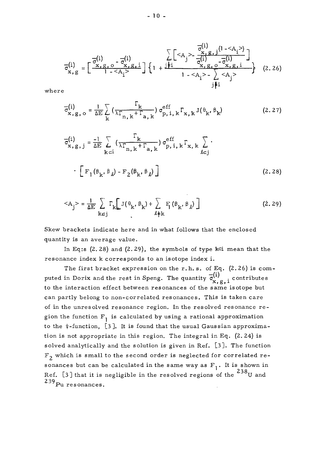$$
\overline{\sigma}_{x, g}^{(i)} = \begin{bmatrix} \overline{\sigma}_{x, g, o}^{(i)} & \sum_{x, g, j}^{\overline{\sigma}_{x, g, j}^{(i)}} (1 - \langle A_i \rangle) \\ \overline{\sigma}_{x, g}^{(i)} = \begin{bmatrix} \frac{\overline{\sigma}_{x, g, o}^{(i)}}{1 - \langle A_i \rangle} & \frac{\overline{\sigma}_{x, g, j}^{(i)}}{1 - \langle A_i \rangle} \\ 1 + \frac{\overline{\sigma}_{x, g, o}^{(i)}}{1 - \langle A_i \rangle} & \frac{\overline{\sigma}_{x, g, i}^{(i)}}{1 - \langle A_i \rangle} \end{bmatrix} \end{bmatrix}
$$
 (2.26)

wher e

$$
\overline{\sigma}_{\mathbf{x},\mathbf{g},\mathbf{o}}^{(i)} = \frac{1}{\Delta E} \sum_{k} \left( \frac{\Gamma_{k}}{\lambda \Gamma_{n,k} + \Gamma_{a,k}} \right) \sigma_{p,i,k}^{eff} \Gamma_{\mathbf{x},k} J(\theta_{k}, \theta_{k})
$$
(2.27)

$$
\overline{\sigma}_{\mathbf{x}, g, j}^{(i)} = \frac{-1}{\Delta E} \sum_{k \in i} \left( \frac{\Gamma_k}{\lambda \Gamma_{n, k} + \Gamma_{a, k}} \right) \sigma_{p, i, k}^{eff} \Gamma_{\mathbf{x}, k} \sum_{\ell \in j} \cdot \left( \mathbf{F}_1(\beta_k, \beta_\ell) - \mathbf{F}_2(\beta_k, \beta_\ell) \right)
$$
\n(2.28)

$$
\langle A_{j} \rangle = \frac{1}{\Delta E} \sum_{k \in j} \Gamma_{k} \left[ J(\theta_{k}, \beta_{k}) + \sum_{\ell \neq k} F_{j}(\beta_{k}, \beta_{\ell}) \right]
$$
(2.29)

Skew brackets indicate here and in what follows that the enclosed quantity is an average value.

In Eq:s (2.28) and (2.29), the symbols of type  $k$ <sup>ci</sup> mean that the resonance index k corresponds to an isotope index i.

The first bracket expression on the r.h.s. of Eq.  $(2.26)$  is computed in Dorix and the rest in Speng. The quantity  $\sigma^{(1)}_{\mu}$ , contributes **x , g j i**  can partly belong to non-correlated resonances. This is taken care of in the unresolved resonance region. In the resolved resonance region the function  $F_1$  is calculated by using a rational approximation to the  $\psi$ -function, [3]. It is found that the usual Gaussian approximation is not appropriate in this region. The integral in Eq.  $(2.24)$  is solved analytically and the solution is given in Ref. [3]. The function  $F<sub>2</sub>$  which is small to the second order is neglected for correlated resonances but can be calculated in the same way as  $F_1$ . It is shown in sonance s but can be calculate d in the sam e wa y a s F , . It is shown in Ref. [3] that it is negligible in the resolved regions of the  $10^{\circ}$ U and  $230$  $^{239}$ Pu resonances.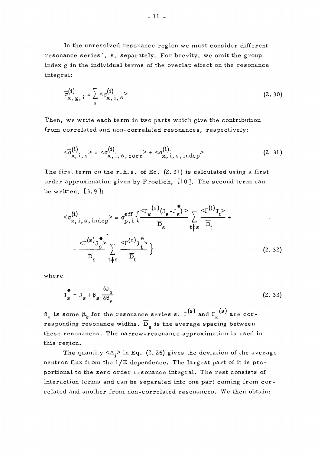In the unresolved resonance region we must consider different resonance series', s, separately. For brevity, we omit the group index g in the individual terms of the overlap effect on the resonance integral:

$$
\overline{\sigma}_{x, g, i}^{(i)} = \sum_{s} <\sigma_{x, i, s}^{(i)}>
$$
 (2.30)

Then, we write each term in two parts which give the contribution from correlated and non-correlated resonances, respectively:

$$
\langle \overline{\sigma}_{x, i, s}^{(i)} \rangle = \langle \sigma_{x, i, s, corr}^{(i)} \rangle + \langle \sigma_{x, i, s, indep}^{(i)} \rangle
$$
 (2. 31)

The first term on the r.h.s. of Eq.  $(2.31)$  is calculated using a first order approximation given by Froelich,  $[10]$ . The second term can be written,  $[3, 9]$ :

$$
\langle \sigma_{x, i, s, indep}^{(i)} \rangle = \sigma_{p, i}^{eff} \left\{ \frac{\langle \Gamma_x^{(s)}(J_s - J_s^*) \rangle}{\overline{D}_s} \sum_{t \neq s} \frac{\langle \Gamma^{(t)}J_t \rangle}{\overline{D}_t} + \frac{\langle \Gamma^{(s)}J_s^* \rangle}{\overline{D}_s} \sum_{t \neq s} \frac{\langle \Gamma^{(t)}J_t \rangle}{\overline{D}_t} \right\}
$$
\n
$$
(2.32)
$$

wher e

$$
J_s^* = J_s + \beta_s \frac{\delta J_s}{\delta \beta_s}
$$
 (2.33)

 $\beta_s$  is some  $\beta_k$  for the resonance series s.  $\Gamma^{(s)}$  and  $\Gamma_x^{(s)}$  are corresponding resonance widths.  $\overline{D}_s$  is the average spacing between these resonances. The narrow-resonance approximation is used in this region.

The quantity  $\langle A_i \rangle$  in Eq. (2.26) gives the deviation of the average neutron flux from the  $1/E$  dependence. The largest part of it is proportional to the zero order resonance integral. The rest consists of interaction terms and can be separated into one part coming from correlated and another from non-correlated resonances. We then obtain: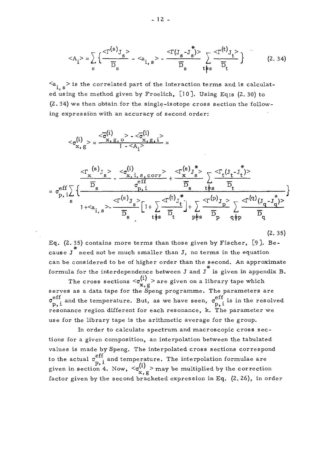$$
\langle A_{i} \rangle = \sum_{s} \left\{ \frac{\langle \Gamma^{(s)} \rangle_{s}}{\overline{D}_{s}} - \langle a_{i, s} \rangle - \frac{\langle \Gamma(J_{s} - J_{s}^{*}) \rangle}{\overline{D}_{s}} \sum_{t \neq s} \frac{\langle \Gamma^{(t)} J_{t} \rangle}{\overline{D}_{t}} \right\} \tag{2.34}
$$

 $a_{i,s}$  > is the correlated part of the interaction terms and is calculated using the method given by Froelich, [10]. Using Eq:s (2. 30) to (2. 34) we then obtain for the single-isotope cross section the following expression with an accuracy of second order:

$$
\langle \sigma_{x, g}^{(i)} \rangle = \frac{\langle \overline{\sigma}_{x, g, o}^{(1)} \rangle - \langle \overline{\sigma}_{x, g, i}^{(1)} \rangle}{1 - \langle A_i \rangle} = \frac{\langle \sigma_{x, g, o}^{(i)} \rangle - \langle \sigma_{x, g, i}^{(i)} \rangle}{1 - \langle A_i \rangle} = \sigma_{p, i}^{eff} \sqrt{\frac{\overline{D}_s}{\sqrt{\frac{D_s}{\sqrt{D}_s}}}} - \frac{\langle \sigma_{x, i, s, corr}^{(i)} \rangle + \langle \sigma_{x, s}^{(i)} \rangle}{\sigma_{p, i}^{eff}} + \frac{\langle \sigma_{x, s}^{(i)} \rangle - \langle \sigma_{x, s}^{(i)} \rangle}{\overline{D}_s} = \frac{\langle \sigma_{x, i, s, corr}^{(i)} \rangle - \langle \sigma_{x, s}^{(i)} \rangle}{\overline{D}_s} + \frac{\langle \sigma_{x, s}^{(i)} \rangle - \langle \sigma_{x, s}^{(i)} \rangle}{\overline{D}_s} = \frac{\langle \sigma_{x, s, g, o}^{(i)} \rangle - \langle \sigma_{x, s, g, i}^{(i)} \rangle}{\overline{D}_s} = \frac{\langle \sigma_{x, s, g, o}^{(i)} \rangle - \langle \sigma_{x, s, g, i}^{(i)} \rangle}{\overline{D}_s} = \frac{\langle \sigma_{x, s, g, f, o}^{(i)} \rangle - \langle \sigma_{x, s, g, f, i}^{(i)} \rangle}{\overline{D}_s} = \frac{\langle \sigma_{x, s, g, f, o}^{(i)} \rangle - \langle \sigma_{x, s, g, f, i}^{(i)} \rangle}{\overline{D}_s} = \frac{\langle \sigma_{x, s, g, f, o}^{(i)} \rangle - \langle \sigma_{x, s, g, f, i}^{(i)} \rangle}{\overline{D}_s} = \frac{\langle \sigma_{x, s, g, f, g, r}^{(i)} \rangle - \langle \sigma_{x, s, g, f, i}^{(i)} \rangle}{\overline{D}_s} = \frac{\langle \sigma_{x, s, g, f, g, r}^{(i)} \rangle - \langle \sigma_{x, s, g, f, i}^{(i)} \rangle}{\overline{D}_s} = \frac{\langle \sigma_{x, s, g, f, f, g, r}^{(i)} \rangle - \langle \sigma_{x, s, g, f
$$

 $\overline{\mathbf{r}}$ 

 $\overline{1}$ 

Eq. (2. 35) contains more terms than those given by Fischer, [9]. Beyy<br>\* cause  $J$  need not be much smaller than  $J$ , no terms in the equation can be considered to be of higher order than the second. An approximate formula for the interdependence between J and J<sup>\*</sup> is given in appendix B.

s  $\lambda$  che c pie p die die die possibility of  $\lambda$ 

(2. 35)

The cross sections  $\langle \sigma_{x}^{(1)} \rangle$  are given on a library tape which serves as a data tape for the Speng programme. The parameters are eff and the temperature. But, as we have seen  $\epsilon$ <sup>eff</sup>  $p, 1$ <br>position the temperature seek resolved in the resolvence in the resolution  $\mathbf{w}$ resonance region different for each resonance, k. The parameter we<br>use for the library tape is the arithmetic average for the group.

In order to calculate spectrum and macroscopic cross sections for a given composition, an interpolation between the tabulated values is made by Speng. The interpolated cross sections correspond  $v_{\rm{eff}}$  and  $v_{\rm{eff}}$  and  $v_{\rm{eff}}$  and  $v_{\rm{eff}}$  sections sections  $v_{\rm{eff}}$  sections sections formulae corresponding to  $v_{\rm{eff}}$ to the actual  $\sigma_{\mathbf{p},i}^{\text{ent}}$  and temperature. The interpolation formulae are  $\sum_{\text{on 4. Now, }}<\sigma_{\text{y}}^{(1)}$  $\mathbf{x}, \mathbf{g}$ <br>factor given by the second bracketed expression in Eq. (2. 26), in ord factor given by the second bracketed expression in Eq. (2. 26), in order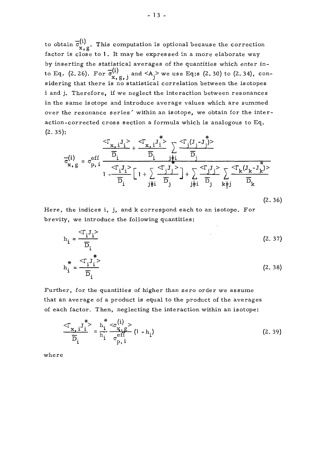to obtain  $\overline{\sigma}_{x, g}^{(i)}$ . This computation is optional because the correction factor is close to 1. It may be expressed in a more elaborate way by inserting the statistical averages of the quantities which enter into Eq. (2.26). For  $\overline{\sigma}^{(1)}_{...}$  , and  $\langle A_1 \rangle$  we use Eq:s (2.30) to (2.34), considering that there is no statistical correlation between the isotopes i and j. Therefore, if we neglect the interaction between resonances in the same isotope and introduce average values which are summed over the resonance series' within an isotope, we obtain for the interaction-corrected cross section a formula which is analogous to Eq. (2.35):

$$
\overline{\sigma}_{x, g}^{(i)} = \sigma_{p, i}^{eff} \frac{\overline{D}_{i}}{D_{i}} + \frac{\overline{D}_{i}}{D_{i}} \sum_{j \neq i} \frac{\overline{T}_{j}^{(J_{j} - J_{j}^{*})}}{D_{j}}
$$
\n
$$
\overline{\sigma}_{x, g}^{(i)} = \sigma_{p, i}^{eff} \frac{\overline{D}_{i}}{\overline{D}_{i}} \left[1 + \sum_{j \neq i} \frac{\overline{T}_{j}^{(J_{j} - J_{j}^{*})}}{D_{j}}\right] + \sum_{j \neq i} \frac{\overline{C}_{i}^{T} J_{j}^{(J)}}{D_{j}} \sum_{k \neq j} \frac{\overline{C}_{k}^{T} (J_{k} - J_{k}^{*})}{D_{k}}
$$
\n(2.36)

Here, the indices i, j, and k correspond each to an isotope. For brevity, we introduce the following quantities:

$$
h_{i} = \frac{<\Gamma_{i} J_{i}>}{\overline{D}_{i}}
$$
\n
$$
h_{i}^{*} = \frac{<\Gamma_{i} J_{i}>}{\overline{D}_{i}}
$$
\n(2. 37)\n(2. 38)

Further, for the quantities of higher than zero order we assume that an average of a product is equal to the product of the averages of each factor. Then, neglecting the interaction within an isotope:

$$
\frac{\langle \Gamma_{\mathbf{x},i}^{\mathbf{y}} \rangle}{\overline{D}_{i}} = \frac{\mathbf{h}_{i}^{\mathbf{y}} \langle \sigma_{i}^{(i)} \rangle}{\mathbf{h}_{i}^{\mathbf{y}} \sigma_{p,i}^{\text{eff}}} \left(1 - \mathbf{h}_{i}\right)
$$
(2.39)

where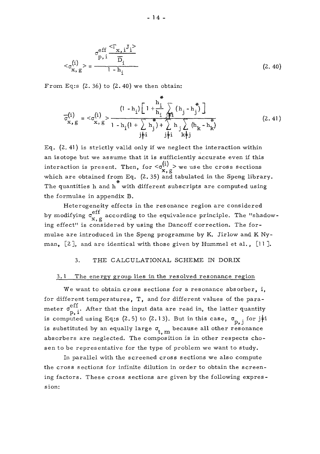$$
\langle \sigma_{\mathbf{X},\mathbf{g}}^{(i)} \rangle = \frac{\sigma_{\mathbf{p},i}^{\mathrm{eff}} \frac{\langle \Gamma_{\mathbf{X},i} \mathbf{J}_{i} \rangle}{\overline{\mathbf{D}}_{i}}}{1 - \mathbf{h}_{i}}
$$
(2.40)

From Eq:s  $(2.36)$  to  $(2.40)$  we then obtain:

$$
\overline{\sigma}_{x, g}^{(i)} = \langle \sigma_{x, g}^{(i)} \rangle + \frac{(1 - h_{i}) \left[ 1 + \frac{h_{i}}{h_{i}} \right] \left[ h_{j} - h_{j}^{*} \right]}{1 - h_{i} (1 + \sum_{j} h_{j}^{*} + \sum_{j \neq i}^{n} h_{j} \sum_{k \neq j}^{n} (h_{k} - h_{k}^{*})}
$$
\n(2.41)

Eq. (2. 41) is strictly valid only if we neglect the interaction within an isotope but we assume that it is sufficiently accurate even if this interaction is present. Then, for  $\langle \sigma_{\mathbf{x},g}^{(1)} \rangle$  we use the cross sections which are obtained from Eq.  $(2.35)$  and tabulated in the Speng library. The quantities h and h with different subscripts are computed using the formulae in appendix B.

Heterogeneity effects in the resonance region are considered by modifying  $\sigma_{x, g}^{eff}$  according to the equivalence principle. The "shadow*x*<br>`one mulae are introduced in the Speng programme by K. Jirlow and K Nymulae ar e introduced in the Speng programme by K. Jirlow and K Ny- $\max_{i}$  [4], and are identical with those given by Hummel et al., [11].

#### 3. THE CALCULATIONAL, SCHEME IN DORIX

#### 3. 1 The energy group lies in the resolved resonance region

We want to obtain cross sections for a resonance absorber, i, for different temperatures, T, and for different values of the para meter  $\sigma_{p,i}^{\text{eff}}$ . After that the input data are read in, the latter quantity is computed using Eq:s (2.5) to (2.13). But in this case,  $\sigma_{p, j}$  for j#i P» J is substituted by an equally large  $\sigma_{t\ldots m}^{\phantom{\dagger}}$  because all other resonance absorbers are neglected. The composition is in other respects chosen to be representative for the type of problem we want to study.

In parallel with the screened cross sections we also compute the cross sections for infinite dilution in order to obtain the screen ing factors. These cross sections are given by the following expression: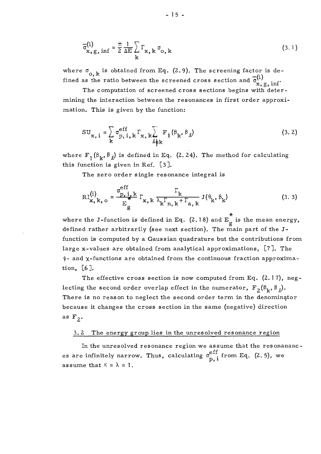$$
\overline{\sigma}_{\mathbf{x},\mathbf{g},\inf}^{(i)} = \frac{\pi}{2} \frac{1}{\Delta E} \sum_{\mathbf{k}} \Gamma_{\mathbf{x},\mathbf{k}} \sigma_{\mathbf{o},\mathbf{k}} \tag{3.1}
$$

where  $\sigma_{o,k}$  is obtained from Eq. (2.9). The screening factor is de- $\alpha, k$  <sup>13</sup> because it on Eq. (2.7). The screening factor fined as the ratio between the screened cross section and  $\overline{\sigma}_{\mathbf{v}}^{(1)}$ 

The computation of screened cross sections begins with determining the interaction between the resonances in first order approximation. This is given by the function: mation. This is given by the function:

$$
SU_{x, i} = \sum_{k} \sigma_{p, i, k}^{eff} \Gamma_{x, k} \sum_{\ell \neq k}^{F} F_{l} (\beta_{k}, \beta_{\ell})
$$
 (3.2)

where  $F_1(\beta_k, \beta_k)$  is defined in Eq. (2.24). The method for calculating this function is given in Ref. [3 ].

The zero order single resonance integral is

$$
R_{\mathbf{x},k,0}^{(i)} = \frac{\sigma_{p,i,k}^{eff}}{E_g} \Gamma_{\mathbf{x},k} \frac{\Gamma_k}{\lambda_k \Gamma_{n,k} + \Gamma_{a,k}} J(\theta_k, \beta_k)
$$
(3.3)

where the  $J$ -function is defined in Eq. (2.1 8) and Eq. is the mean energy, defined rather arbitrarily (see next section). The main part of the Jfunction is computed by a Gaussian quadrature but the contributions from large x-values are obtained from analytical approximations,  $[7]$ . The p- and x-functions are obtained from the continuous fraction approximation,  $[6]$ .<br>The effective cross section is now computed from Eq.  $(2.17)$ , neg-

The effective cross section is now computed from Eq.  $(2.11)$ , neglecting the second order overlap effect in the numerator,  $r_2(v_k, v_l)$ . There is no reason to neglect the second order term in the denominator because it changes the cross section in the same (negative) direction as  $F_2$ .

#### 3.2 The energy group lies in the unresolved resonance region

In the unresolved resonance region we assume that the resonananc es are infinitely narrow. Thus, calculating  $\sigma_{\mathbf{p},i}^{\text{eff}}$  from Eq. (2.5), we assume that  $K = \lambda = 1$ .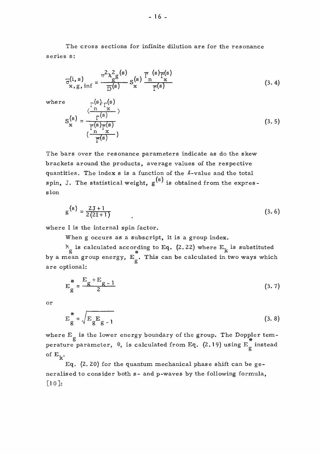The cross sections for infinite dilution are for the resonance series s:

$$
\overline{\sigma}_{\mathbf{x},\mathbf{g},\inf}^{(i,s)} = \frac{\pi^2 \chi_{\mathbf{g}}^2(\mathbf{s})}{\overline{\mathbf{g}}(\mathbf{s})} \mathbf{S}_{\mathbf{x}}^{(s)} \frac{\overline{\Gamma}_{\mathbf{n}}^{(s)} \overline{\Gamma}_{\mathbf{s}}^{(s)}}{\overline{\Gamma}_{\mathbf{s}}^{(s)}}
$$
(3.4)

where  $_{\neg}$ (s)<sub>r</sub>(s)

$$
S_{\mathbf{x}}^{(s)} = \frac{\frac{\sqrt{\frac{\Gamma(e \cdot \mathcal{F}^{\mathbf{x}} \cdot \mathcal{F}^{\mathbf{x}}\cdot \mathcal{F}^{\mathbf{x}}\cdot \mathcal{F}^{\mathbf{x}}\cdot \mathcal{F}^{\mathbf{x}}\cdot \mathcal{F}^{\mathbf{x}}\cdot \mathcal{F}^{\mathbf{x}}\cdot \mathcal{F}^{\mathbf{x}}\cdot \mathcal{F}^{\mathbf{x}}\cdot \mathcal{F}^{\mathbf{x}}\cdot \mathcal{F}^{\mathbf{x}}\cdot \mathcal{F}^{\mathbf{x}}\cdot \mathcal{F}^{\mathbf{x}}\cdot \mathcal{F}^{\mathbf{x}}\cdot \mathcal{F}^{\mathbf{x}}\cdot \mathcal{F}^{\mathbf{x}}\cdot \mathcal{F}^{\mathbf{x}}\cdot \mathcal{F}^{\mathbf{x}}\cdot \mathcal{F}^{\mathbf{x}}\cdot \mathcal{F}^{\mathbf{x}}\cdot \mathcal{F}^{\mathbf{x}}\cdot \mathcal{F}^{\mathbf{x}}\cdot \mathcal{F}^{\mathbf{x}}\cdot \mathcal{F}^{\mathbf{x}}\cdot \mathcal{F}^{\mathbf{x}}\cdot \mathcal{F}^{\mathbf{x}}\cdot \mathcal{F}^{\mathbf{x}}\cdot \mathcal{F}^{\mathbf{x}}\cdot \mathcal{F}^{\mathbf{x}}\cdot \mathcal{F}^{\mathbf{x}}\cdot \mathcal{F}^{\mathbf{x}}\cdot \mathcal{F}^{\mathbf{x}}\cdot \mathcal{F}^{\mathbf{x}}\cdot \mathcal{F}^{\mathbf{x}}\cdot \mathcal{F}^{\mathbf{x}}\cdot \mathcal{F}^{\mathbf{x}}\cdot \mathcal{F}^{\mathbf{x}}\cdot \mathcal{F}^{\mathbf{x}}\cdot \mathcal{F}^{\mathbf{x}}\cdot \mathcal{F}^{\mathbf{x}}\cdot \mathcal{F}^{\mathbf{x}}\cdot \mathcal{F}^{\mathbf{x}}\cdot \mathcal{F}^{\mathbf{x}}\cdot \mathcal{F}^{\mathbf{x}}\cdot \mathcal{F}^{\mathbf{x}}\cdot \mathcal{F}^{\mathbf{x}}\cdot \mathcal{F}^{\mathbf{x}}\cdot \mathcal{F}^{\mathbf{x}}\cdot \mathcal{F}^{\mathbf{x}}\cdot \mathcal{F}^{\mathbf{x}}\cdot \mathcal{F}^{\mathbf{x}}\cdot \mathcal{F}^{\mathbf{x}}\cdot \mathcal{F}
$$

The bars over the resonance parameters indicate as do the skew brackets around the products, average values of the respective quantities. The index s is a function of the *&-*value and the total (s)  $\mathfrak{spin}_\bullet$  J. The statistical weight, g' ' is obtained from the expression

$$
g^{(s)} = \frac{2J+1}{2(2I+1)}
$$
 (3.6)

where I is the internal spin factor.

When g occurs as a subscript, it is a group index.

 $\lambda$  is calculated according to Eq. (2.22) where  $E_{1}$  is substituted by a mean group energy,  $E_{\mu}$ . This can be calculated in two ways which are optional:

$$
E_g^* = \frac{E_g + E_{g-1}}{2}
$$
 (3.7)

or

$$
E_g^* = \sqrt{E_g E_{g-1}}
$$
 (3.8)

where  $E_{\mu}$  is the lower energy boundary of the group. The Doppler temperature parameter,  $\theta$ , is calculated from Eq. (2.19) using E<sub> $\alpha$ </sub> instead of  $E_k$ .

Eq.  $(2. 20)$  for the quantum mechanical phase shift can be generalised to consider both s- and p-waves by the following formula, [10]: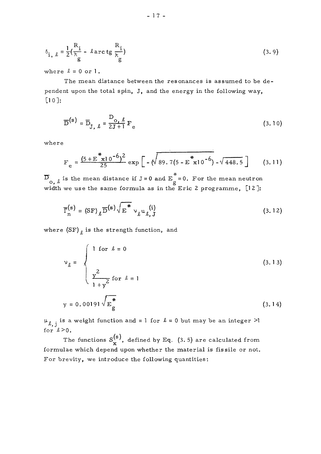$$
\delta_{\mathbf{i},\ \ell} = \frac{1}{2} (\frac{R_{\mathbf{i}}}{\lambda_{\mathbf{g}}} - \ell \operatorname{arc} \operatorname{tg} \frac{R_{\mathbf{i}}}{\lambda_{\mathbf{g}}})
$$
(3.9)

where  $l = 0$  or  $l$ .

The mean distance between the resonances is assumed to be dependent upon the total spin, J, and the energy in the following way, [10]:

$$
\overline{D}^{(s)} = \overline{D}_{J, \ell} = \frac{D_{o, \ell}}{2J + 1} F_e
$$
 (3.10)

•where

$$
F_e = \frac{(5 + E^* \times 10^{-6})^2}{25} \exp\left[-\sqrt{89.7(5 - E^* \times 10^{-6})} - \sqrt{448.5}\right]
$$
 (3.11)

 $\overline{D}_{\overline{O},\ell}$  is the mean distance if J = 0 and  $E_{\overline{g}}^*$  = 0. For the mean neutron width we use the same formula as in the Eric 2 programme,  $[12]$ :

$$
\overline{\Gamma}_{n}^{(s)} = (SF) \, \sqrt{\overline{D}}^{(s)} \sqrt{\overline{E}}^{*} \vee_{\ell} u_{\ell, J}^{(i)}
$$
\n(3.12)

where  $(SF)$ <sub> $\ell$ </sub> is the strength function, and

$$
v_{\ell} = \begin{cases} 1 \text{ for } \ell = 0 \\ \frac{y^2}{1 + y^2} \text{ for } \ell = 1 \end{cases}
$$
(3.13)  

$$
y = 0.00191 \sqrt{\mathbf{E}_{g}^*}
$$
(3.14)

for  $l>0$ .  $\mu_{\ell,j}$  is a weight function and = 1 for  $\ell = 0$  but may be an integer >1

The functions  $S^{(s)}_x$ , defined by Eq. (3.5) are calculated from formulae which depend upon whether the material is fissile or not. For brevity, we introduce the following quantities: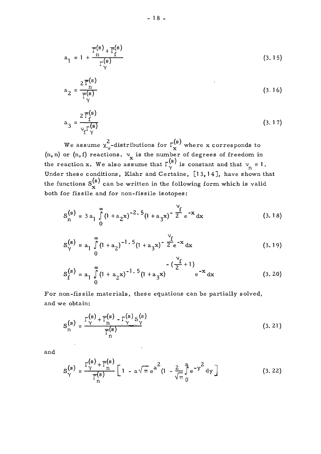$$
a_1 = 1 + \frac{\overline{\Gamma}_1^{(s)} + \overline{\Gamma}_1^{(s)}}{\Gamma_1^{(s)}}
$$
\n(3.15)

$$
a_2 = \frac{2 \overline{\Gamma}_n^{(s)}}{\overline{\Gamma}_\gamma^{(s)}}
$$
(3.16)

$$
a_3 = \frac{2 \overline{\Gamma}_f^{(s)}}{\nu_f \Gamma_\gamma^{(s)}}
$$
(3.17)

We assume  $\chi^2_{\nu}$ -distributions for  $\Gamma^{(s)}_{\mathbf{x}}$  where x corresponds to (n, n) or (n, f) reactions.  $v_x$  is the number of degrees of freedom in the reaction x. We also assume that  $\Gamma(\begin{matrix} s \\ \gamma \end{matrix})$  is constant and that  $v_n = 1$ . Under these conditions, Klahr and Certaine, [1 3, 14], have shown that the functions  $S_{\bf x}^{\bf (s)}$  can be written in the following form which is valid both for fissile and for non-fissile isotopes:

$$
S_{n}^{(s)} = 3 a_{1} \int_{0}^{\infty} (1 + a_{2}x)^{-2.5} (1 + a_{3}x)^{-\frac{v_{f}}{2}} e^{-x} dx
$$
 (3.18)

$$
S_{\gamma}^{(s)} = a_1 \int_{0}^{\infty} (1 + a_2)^{-1.5} (1 + a_3 x)^{-\frac{\gamma_f}{2}} e^{-x} dx
$$
 (3.19)

$$
S_f^{(s)} = a_1 \int_0^{\infty} (1 + a_2 x)^{-1.5} (1 + a_3 x) \qquad e^{-x} dx
$$
 (3.20)

For non-fissile materials, these equations can be partially solved, and we obtain:

$$
S_{n}^{(s)} = \frac{\Gamma_{\gamma}^{(s)} + \overline{\Gamma}_{n}^{(s)} - \Gamma_{\gamma}^{(s)} S_{\gamma}^{(s)}}{\overline{\Gamma}_{n}^{(s)}}
$$
(3. 21)

and

$$
S_{\gamma}^{(s)} = \frac{\Gamma_{\gamma}^{(s)} + \overline{\Gamma}_{n}^{(s)}}{\overline{\Gamma}_{n}^{(s)}} \left[ 1 - a\sqrt{\pi} e^{a^{2}} (1 - \frac{2}{\sqrt{\pi}} \int_{0}^{a} e^{-y^{2}} dy \right]
$$
(3.22)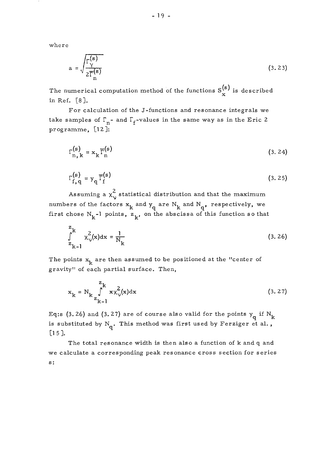where

$$
a = \sqrt{\frac{\Gamma(\mathbf{s})}{2\overline{\Gamma}(\mathbf{s})}} \tag{3.23}
$$

**(s)**   $T_{\rm X}$  is described computation method of the functions  $\frac{1}{\rm X}$  is described. in Ref. [8].<br>For calculation of the J-functions and resonance integrals we

F o r calculation of the J-functions and resonance integrals we take samples of *T -* and I\.-values in the same way as in the Eri c 2 programme, [12]:

$$
\Gamma_{n,k}^{(s)} = x_k \overline{\Gamma}_n^{(s)}
$$
 (3. 24)

$$
\Gamma_{f,q}^{(s)} = y_q \overline{\Gamma}_f^{(s)}
$$
 (3.25)

Assuming a  $\chi^2_{\nu}$  statistical distribution and that the maximum numbers of the factors  $x_1$ , and  $y_n$  are  $N_1$ , and  $N_n$ , respectively, we first chose  $N_{1}$ -1 points,  $z_{1}$ , on the abscissa of this function so that

$$
\int_{z_{k-1}}^{z_k} x_y^2(x) dx = \frac{1}{N_k}
$$
 (3. 26)

The points  $x_{\mu}$  are then assumed to be positioned at the "center of gravity" of each partial surface. Then,

$$
x_{k} = N_{k} \int_{z_{k-1}}^{z_{k}} x \chi_{\nu}^{2}(x) dx
$$
 (3. 27)

Eq:s (3.26) and (3.27) are of course also valid for the points  $y_q$  if  $N_k$ is substituted by  $N_q$ . This method was first used by Ferziger et al.,  $[15]$ .

The total resonance width is then also a function of k and q and we calculate a corresponding peak resonance cross section for series s: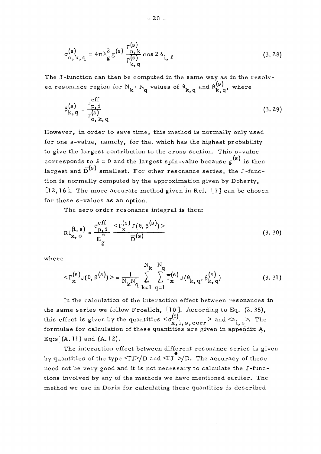$$
\sigma_{\mathbf{o},\mathbf{k},\mathbf{q}}^{(\mathbf{s})} = 4\pi \lambda_{\mathbf{g}}^2 \mathbf{g}^{(\mathbf{s})} \frac{\Gamma_{\mathbf{n},\mathbf{k}}^{(\mathbf{s})}}{\Gamma_{\mathbf{k},\mathbf{q}}^{(\mathbf{s})}} \cos 2\delta_{\mathbf{i},\ell}
$$
 (3.28)

The J-function can then be computed in the same way as in the resolv-م»<br>(s) ed resonance region for  $N^{}_k \cdot N^{}_q$  values of  $\theta^{}_{k,\, q}$  and  $\beta^{(\textbf{s})}_{k,\, q}$ , where

$$
\beta_{k,q}^{(s)} = \frac{\sigma_{p,i}^{eff}}{\sigma_{o,k,q}^{(s)}}
$$
 (3.29)

However, in order to save time, this method is normally only used for one s-value, namely, for that which has the highest probability to give the largest contribution to the cross section. This s-value corresponds to  $\ell = 0$  and the largest spin-value because  $g^{(s)}$  is then corresponds to  $x = 0$  and the largest spin-value because  $g^{(n)}$  is then  $-(s)$  $D_{\mathcal{F}}$  . tion is normally computed by the approximation given by Doherty, [12,16]. The more accurate method given in Ref. [7] can be chosen for these s-values as an option.

The zero order resonance integral is then:

g

$$
RI_{\mathbf{x}, o}^{(i, s)} = \frac{\sigma_{\mathbf{p}, i}^{eff}}{\mathbf{E}_{g}^{*}} \frac{<\Gamma_{\mathbf{x}}^{(s)} J(\theta, \beta^{(s)})>}{\overline{D}^{(s)}}
$$
(3. 30)

where

$$
\langle \Gamma_{\mathbf{x}}^{(s)} \mathbf{J}(\theta, \theta^{(s)}) \rangle = \frac{1}{N_{\mathbf{k}} N_{\mathbf{q}} \sum_{\mathbf{k}=1}^{N_{\mathbf{k}}} \sum_{q=1}^{N_{\mathbf{q}}} \overline{\Gamma}_{\mathbf{x}}^{(s)} \mathbf{J}(\theta_{\mathbf{k}, q}, \theta_{\mathbf{k}, q}^{(s)})
$$
(3. 31)

In the calculation of the interaction effect between resonances in the same series we follow Froelich,  $[10]$ . According to Eq.  $(2.35)$ , this effect is given by the quantities  $\langle \sigma_{\mathbf{x},i,s,corr}^{(1)} \rangle$  and  $\langle a_{i,s} \rangle$ . The *x*, i, s, corr **i**, s, i, s, corr<br>ralculation of these quantities are given in annen Formula  $f(A \mid 1)$  and  $(A \mid 2)$ Eq:s  $(A. 11)$  and  $(A. 12)$ .<br>The interaction effect between different resonance series is given

by quantities of the type  $\langle \nabla J \rangle/D$  and  $\langle \nabla J \rangle/D$ . The accuracy of these need not be very good and it is not necessary to calculate the J-functions involved by any of the methods we have mentioned earlier. The method we use in Dorix for calculating these quantities is described method we use in Dorix for calculating these quantities is described these quantities is described to the set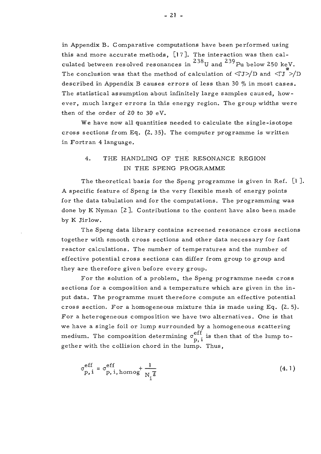in Appendix B. Comparative computations have been performed using this and more accurate methods,  $[17]$ . The interaction was then cal- $238<sub>1</sub>$ ,  $239<sub>1</sub>$ culated between resolved resonances in  $\begin{array}{cc} 0 & \text{and} \end{array}$  resolved  $\begin{array}{cc} \text{with} \end{array}$ The conclusion was that the method of calculation of  $\langle \nabla J \rangle / D$  and  $\langle \nabla J \rangle / D$ described in Appendix B causes errors of less than 30  $%$  in most cases. The statistical assumption about infinitely large samples caused, however, much larger errors in this energy region. The group widths were then of the order of 20 to 30 eV.

We have now all quantities needed to calculate the single-isotope cross sections from Eq.  $(2.35)$ . The computer programme is written in Fortran 4 language.

## 4. THE HANDLING OF THE RESONANCE REGION IN THE SPENG PROGRAMME

The theoretical basis for the Speng programme is given in Ref.  $[1]$ . A specific feature of Speng is the very flexible mesh of energy points for the data tabulation and for the computations. The programming was done by K Nyman  $[2]$ . Contributions to the content have also been made by K Jirlow.

The Speng data library contains screened resonance cross sections together with smooth cross sections and other data necessary for fast reactor calculations. The number of temperatures and the number of effective potential cross sections can differ from group to group and they are therefore given before every group.

For the solution of a problem, the Speng programme needs cross sections for a composition and a temperature which are given in the input data. The programme must therefore compute an effective potential cross section. For a homogeneous mixture this is made using Eq.  $(2.5)$ . For a heterogeneous composition we have two alternatives. One is that we have a single foil or lump surrounded by a homogeneous scattering medium. The composition determining  $\sigma_{p,i}^{eff}$  is then that of the lump together with the collision chord in the lump. Thus,

$$
\sigma_{\mathbf{p},i}^{\mathrm{eff}} = \sigma_{\mathbf{p},i,\mathrm{homog}}^{\mathrm{eff}} + \frac{1}{N_{i}\bar{\ell}}
$$
(4.1)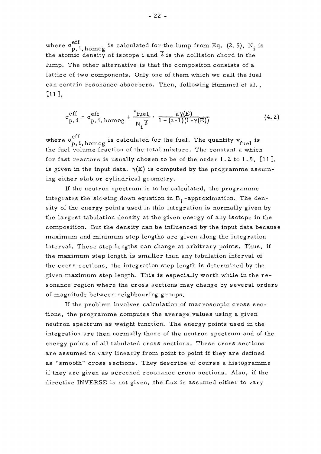where  $\sigma_{n,i}^{\text{eff}}$  homog is calculated for the lump from Eq. (2.5), N<sub>i</sub> is p, i, homog<sup>--</sup>  $\alpha$ <sup>-</sup>  $\alpha$ <sup>-2</sup>  $\alpha$ <sup>-2</sup>  $\alpha$ <sup>-2</sup>  $\alpha$ <sup>-2</sup>  $\alpha$ <sup>-2</sup>  $\alpha$ <sup>-2</sup>  $\alpha$ <sup>-2</sup>  $\alpha$ <sup>-2</sup>  $\alpha$ <sup>-2</sup>  $\alpha$ <sup>-2</sup>  $\alpha$ <sup>-2</sup>  $\alpha$ <sup>-2</sup>  $\alpha$ <sup>-2</sup>  $\alpha$ <sup>-2</sup>  $\alpha$ <sup>-2</sup>  $\alpha$ <sup>-2</sup>  $\alpha$ <sup>-2</sup>  $\alpha$ <sup>-2</sup>  $\alpha$ <sup>-2</sup>  $\alpha$ <sup>-2</sup>  $\alpha$ <sup>-2</sup>  $\alpha$ <sup>-2</sup> the atomic density of isotope i and  $\bar{\ell}$  is the collision chord in the lump. The other alternative is that the compositon consists of a lattice of two components. Only one of them which we call the fuel can contain resonance absorbers. Then, following Hummel et al., can contain resonance absorbers. Then, following Hummel et al. , **D** 

$$
\sigma_{\text{p, i}}^{\text{eff}} = \sigma_{\text{p, i, homog}}^{\text{eff}} + \frac{\text{v}_{\text{fuel}}}{\text{N}_{i} \bar{\ell}} \cdot \frac{\text{a} \gamma(\text{E})}{1 + (\text{a} - 1)(1 - \gamma(\text{E}))}
$$
(4.2)

where  $\sigma_{\bf p, i, homog}^{\rm eff}$  is calculated for the fuel. The quantity  ${\rm v}_{\rm fuel}$  is the fuel volume fraction of the total mixture. The constant a which for fast reactors is usually chosen to be of the order 1.2 to 1.5,  $[1]$ , is given in the input data.  $\gamma(E)$  is computed by the programme assuming either slab or cylindrical geometry.

If the neutron spectrum is to be calculated, the programme integrates the slowing down equation in  $B_1$ -approximation. The density of the energy points used in this integration is normally given by the largest tabulation density at the given energy of any isotope in the composition. But the density can be influenced by the input data because maximum and minimum step lengths are given along the integration interval. These step lengths can change at arbitrary points. Thus, if the maximum step length is smaller than any tabulation interval of the cross sections, the integration step length is determined by the given maximum step length. This is especially worth while in the resonance region where the cross sections may change by several orders of magnitude between neighbouring groups.

If the problem involves calculation of macroscopic cross sections, the programme computes the average values using a given neutron spectrum as weight function. The energy points used in the integration are then normally those of the neutron spectrum and of the energy points of all tabulated cross sections. These cross sections are assumed to vary linearly from point to point if they are defined as "smooth" cross sections. They describe of course a histogramme if they are given as screened resonance cross sections. Also, if the directive INVERSE is not given, the flux is assumed either to vary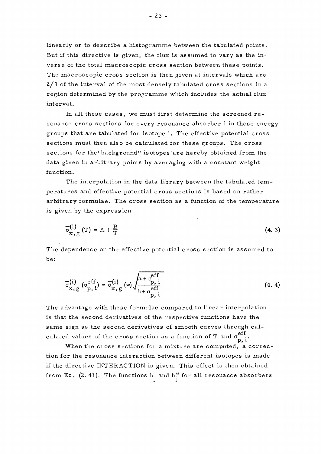linearly or to describe a histogramme between the tabulated points. But if this directive is given, the flux is assumed to vary as the inverse of the total macroscopic cross section between these points. The macroscopic cross section is then given at intervals which are 2/3 of the interval of the most densely tabulated cross sections in a region determined by the programme which includes the actual flux interval.

In all these cases, we must first determine the screened resonance cross sections for every resonance absorber i in those energy groups that are tabulated for isotope i. The effective potential cross sections must then also be calculated for these groups. The cross sections for the"background" isotopes are hereby obtained from the data given in arbitrary points by averaging with a constant weight function.

The interpolation in the data library between the tabulated temperatures and effective potential cross sections is based on rather arbitrary formulae. The cross section as a function of the temperature is given by the expression

$$
\overline{\sigma}_{\mathbf{x},\,\mathbf{g}}^{(i)}\left(\mathbf{T}\right) = \mathbf{A} + \frac{\mathbf{B}}{\mathbf{T}}\tag{4.3}
$$

The dependence on the effective potential cross section is assumed to be:

$$
\overline{\sigma}_{\mathbf{x},\mathbf{g}}^{(i)}\left(\sigma_{\mathbf{p},i}^{\mathrm{eff}}\right) = \overline{\sigma}_{\mathbf{x},\mathbf{g}}^{(i)}\left(\infty\right) \sqrt{\frac{\mathbf{a} + \sigma_{\mathbf{p},i}^{\mathrm{eff}}}{\mathbf{b} + \sigma_{\mathbf{p},i}^{\mathrm{eff}}}}
$$
(4.4)

The advantage with these formulae compared to linear interpolation is that the second derivatives of the respective functions have the same sign as the second derivatives of smooth curves through calculated values of the cross section as a function of T and  $\sigma_{\text{n-i}}^{\text{eff}}$ 

 $h^{\dagger}$ When the cross sections for a mixture are computed, a correc-<br>tion for the resonance interaction between different isotopes is made if the directive INTERACTION is given. This effect is then obtained if the directive INTERACTION is given. This effect is then obtained from Eq. (2.41). The functions  $\lim_{j}$  and  $\lim_{j}$  for all resonance absorbers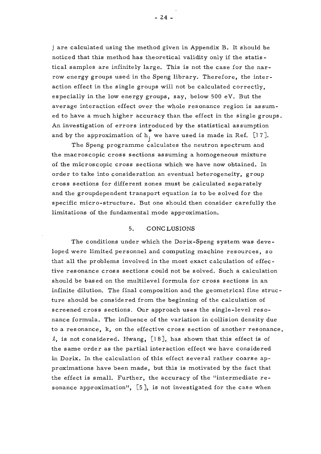j are calculated using the method given in Appendix B. It should be noticed that this method has theoretical validity only if the statistical samples are infinitely large. This is not the case for the narrow energy groups used in the Speng library. Therefore, the interaction effect in the single groups will not be calculated correctly, especially in the low energy groups, say, below 500 eV. But the average interaction effect over the whole resonance region is assumed to have a much higher accuracy than the effect in the single groups. An investigation of errors introduced by the statistical assumption and by the approximation of  $h_i^*$  we have used is made in Ref. [17].

The Speng programme calculates the neutron spectrum and the macroscopic cross sections assuming a homogeneous mixture of the microscopic cross sections which we have now obtained. In order to take into consideration an eventual heterogeneity, group cross sections for different zones must be .calculated separately and the groupdependent transport equation is to be solved for the specific micro-structure. But one should then consider carefully the limitations of the fundamental mode approximation.

#### 5. CONCLUSIONS

The conditions under which the Dorix-Speng system was developed were limited personnel and computing machine resources, so that all the problems involved in the most exact calculation of effective resonance cross sections could not be solved. Such a calculation should be based on the multilevel formula for cross sections in an infinite dilution. The final composition and the geometrical fine structure should be considered from the beginning of the calculation of screened cross sections. Our approach uses the single-level resonance formula. The influence of the variation in collision density due to a resonance, k, on the effective cross section of another resonance, *I,* is not considered. Hwang, [1 8], has shown that this effect is of the same order as the partial interaction effect we have considered in Dorix. In the calculation of this effect several rather coarse approximations have been made , but this is motivated by the fact that the effect is small. Further, the accuracy of the "intermediate re sonance approximation", [5], is not investigated for the case when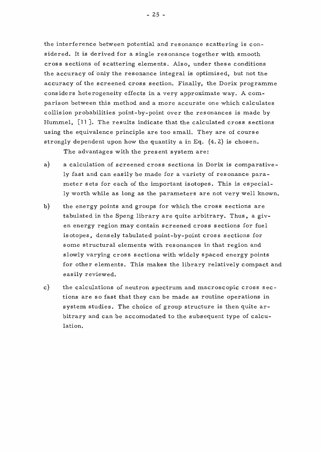the interference between potential and resonance scattering is considered. It is derived for a single resonance together with smooth cross sections of scattering elements. Also, under these conditions the accuracy of "only the resonance integral is optimised, but not the accuracy of the screened cross section. Finally, the Dorix programme considers heterogeneity effects in a very approximate way. A comparison between this method and a more accurate one which calculates collision probabilities point-by-point over the resonances is made by Hummel, [11 ]. The results indicate that the calculated cross sections using the equivalence principle are too small. They are of course strongly dependent upon how the quantity a in Eq.  $(4.2)$  is chosen.

The advantages with the present system are:

- a) a calculation of screened cross sections in Dorix is comparative ly fast and can easily be made for a variety of resonance para meter sets for each of the important isotopes. This is especially worth while as long as the parameters are not very well known.
- b) the energy points and groups for which the cross sections are tabulated in the Speng library are quite arbitrary. Thus, a given energy region may contain screened cross sections for fuel isotopes, densely tabulated point-by-point cross sections for some structural elements with resonances in that region and slowly varying cross sections with widely spaced energy points for other elements. This makes the library relatively compact and easily reviewed.
- c) the calculations of neutron spectrum and macroscopic cross sections are so fast that they can be made as routine operations in system studies. The choice of group structure is then quite arbitrary and can be accomodated to the subsequent type of calculation.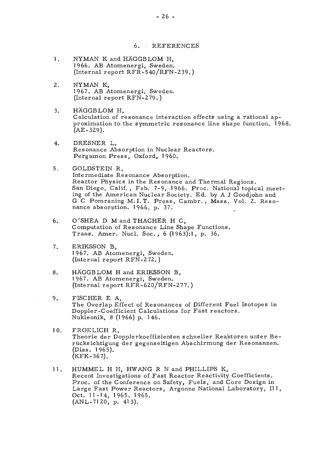6. • REFERENCES

- $\mathbf{1}$ . NYMAN K and HÄGGBLOM H, 1966. AB Atomenergi, Sweden. (Internal report RFR-540/RFN-239.)
- $2.$ NYMAN K, 1967. AB Atomenergi, Sweden. (Internal report RFN-279.)
- $3.$ HÄGGBLOM H, Calculation of resonance interaction effects using a rational approximation to the symmetric resonance line shape function. 1968. (AE-329).
- DRESNER L,  $4.$ Resonance Absorption in Nuclear Reactors. Pergamon Press, Oxford, I960.
- $5.$ GOLDSTEIN R, Intermediate Resonance Absorption. Reactor Physics in the Resonance and Thermal Regions. San Diego, Calif., Feb. 7-9, 1966. Proc. National topical meeting of the American Nuclear Society. Ed. by A J Goodjohn and G C Pomraning M.I. T. Press, Cambr. , Mass. Vol. 2. Resonance absorption. 1966, p. 37.
- 6. O'SHEA D M and THACHER H C, Computation of Resonance Line Shape Functions. Trans. Amer. Nucl. Soc. , 6 (1963):!, p. 36.
- ERIKSSON B,  $7<sub>1</sub>$ 1 967. AB Atomenergi, Sweden. (Internal report RFN-2 72. )
- HÄGGBLOM H and ERIKSSON B, 8. 1967. AB Atomenergi, Sweden. (Internal report RFR-620/RFN-277.)
- 9. FISCHER E A, The Overlap Effect of Resonances of Different Fuel Isotopes in Doppler-Coefficient Calculations for Fast reactors. Nukleonik, 8 (1966) p. 146.
- $10.$ FROELICH R, Theorie der Dopplerkoeffizienten schneller Reaktoren unter Be riicksichtigung der gegenseitigen Abschirmung der Resonanzen. (Diss. 1965). (KFK-367).
- $11.$ HUMMEL H H, HWANG R N and PHILLIPS K, Recent Investigations of Fast Reactor Reactivity Coefficients. Proc. of the Conference on Safety, Fuels, and Core Design in Large Fast Power Reactors, Argonne National Laboratory, 111 , Oct. 11-14, 1965. 1965. (ANL-7120, p. 413).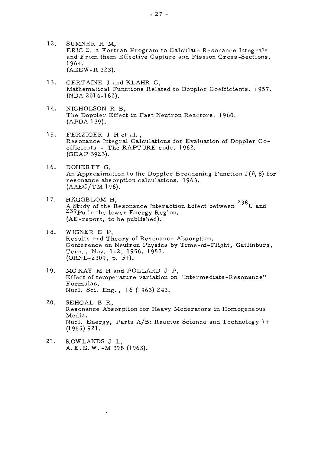- $12.$ SUMNER H M, ERIC 2, a Fortran Program to Calculate Resonance Integrals and From them Effective Capture and Fission Cross-Sections. 1964. (AEEW-R 323).
- $13.$ CERTAINE J and KLAHR C, Mathematical Functions Related to Doppler Coefficients. 1957. (NDA 2014-162).
- 14. NICHOLSON R B, The Doppler Effect in Fast Neutron Reactors. I960.  $(APDA\overline{1}39).$
- $15.$ FERZIGER J H et al. , Resonance Integral Calculations for Evaluation of Doppler Coefficients - The RAPTURE code. 1962. (GEAP 392 3).
- 16. DOHERTY G, An Approximation to the Doppler Broadening Function  $J(\theta, \beta)$  for resonance absorption calculations. 1963.  $(AAEC/TM 196).$
- $17.$ HÄGGBLOM H, 238 A Study of the Resonance Interaction Effect between  $^{250}$ U and <sup>239</sup>Pu in the lower Energy Region. (AE-report, to be published).
- $18.$ WIGNER E P, Results and Theory of Resonance Absorption. Conference on Neutron Physics by Time-of-Flight, Gatlinburg, Tenn., Nov. 1-2, 1956. 1957. (ORNL-2309, p. 59).
- 19. MC KAY M H and POLLARD J P, Effect of temperature variation on "Intermediate-Resonance" Formulas. Nucl. Sci. Eng. , 16 (1963) 243.
- 20. SEHGAL B R, Resonance Absorption for Heavy Moderators in Homogeneous Media. Nucl. Energy, Parts A/B: Reactor Science and Technology 19 (1965) 921.
- $21.$ ROWLANDS J L, A. E.E.W. -M 398 (1963).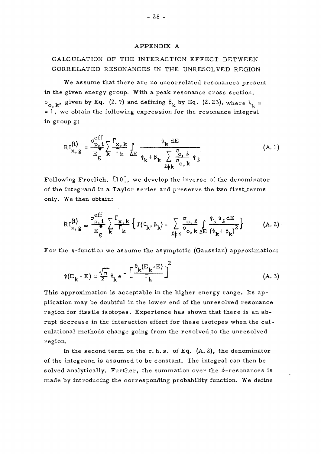#### APPENDIX A

# CALCULATION OF THE INTERACTION EFFECT BETWEEN CORRELATED RESONANCES IN THE UNRESOLVED REGION

We assume that there are no uncorrelated resonances present in the given energy group. With a peak resonance cross section,  $\sigma_{\alpha k}$ , given by Eq. (2.9) and defining  $\beta_{k}$  by Eq. (2.23), where  $\lambda_{1} =$  $= 1$ , we obtain the following expression for the resonance integral in group g:

$$
RI_{\mathbf{x}, g}^{(i)} = \frac{\sigma_{p, i}^{eff}}{E_g} \sum_{k}^{F_{\mathbf{x}, k}} \sum_{k} \sum_{\psi_k + \beta_k} \frac{\psi_k dE}{\sum_{\ell \neq k} \sigma_{o, k}} \tag{A.1}
$$

Following Froelich, [10], we develop the inverse of the denominator of the integrand in a Taylor series and preserve the two first terms only. We then obtain:

$$
RI_{x, g}^{(i)} \simeq \frac{\sigma_{p, i}^{eff}}{E_g^*} \sum_{k}^{F} \frac{r_{x, k}}{r_k} \left\{ J(\theta_k, \beta_k) - \sum_{\ell \neq k} \frac{\sigma_{0, \ell}}{\sigma_{0, k}} \int_{\Delta E} \frac{\psi_k \psi_{\ell} dE}{(\psi_k + \beta_k)^2} \right\}
$$
(A. 2)

For the  $\psi$ -function we assume the asymptotic (Gaussian) approximation:

$$
\psi(\mathbf{E}_{\mathbf{k}} - \mathbf{E}) = \frac{\sqrt{\pi}}{2} \theta_{\mathbf{k}} e^{-\frac{\theta_{\mathbf{k}}(E_{\mathbf{k}} - \mathbf{E})}{\Gamma_{\mathbf{k}}}} \int^{2}
$$
(A. 3)

This approximation is acceptable in the higher energy range. Its application may be doubtful in the lower end of the unresolved resonance region for fissile isotopes. Experience has shown that there is an abrupt decrease in the interaction effect for these isotopes when the calculational methods change going from the resolved to the unresolved region.

In the second term on the r. h.s. of Eq.  $(A, 2)$ , the denominator of the integrand is assumed to be constant. The integral can then be solved analytically. Further, the summation over the  $\ell$ -resonances is made by introducing the corresponding probability function. We define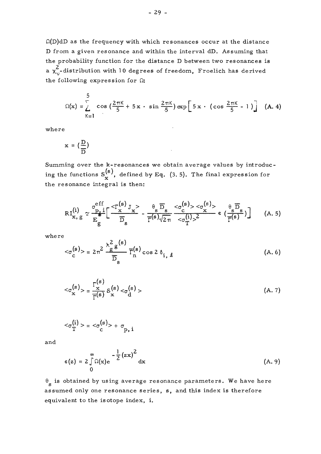$\Omega(D)$ dD as the frequency with which resonances occur at the distance D from a given resonance and within the interval dD. Assuming that the probability function for the distance D between two resonances is  $2\frac{1}{2}$ a  $\chi_\mathrm{v}$ -distribution with 10 degrees of freedom, Froelich has derived the following expression for  $\Omega$ :

$$
\Omega(x) = \sum_{K=1}^{5} \cos\left(\frac{2\pi K}{5} + 5x \cdot \sin\frac{2\pi K}{5}\right) \exp\left[5x \cdot (\cos\frac{2\pi K}{5} - 1)\right]
$$
 (A. 4)

wher e

$$
x = \left(\frac{D}{D}\right)
$$

Summing over the k-resonances we obtain average values by introduc- $\widehat{(\mathbf{s})}$ ing the functions  $S_{r}^{(8)}$ , defined by Eq. (3.5). The final expression for the resonance integral is then:

$$
RI_{x, g}^{(i)} \simeq \frac{\sigma_{p, i}^{eff}}{E_g} \left[ \frac{<\Gamma_{x}^{(s)} J_x>}{\overline{D}_s} - \frac{\theta_s \overline{D}_s}{\overline{\Gamma}^{(s)} \sqrt{2\pi}} \frac{<\sigma_{c}^{(s)}><\sigma_{x}^{(s)}>\varphi_{\overline{D}_s}^{\overline{D}_s}}{<\sigma_{\overline{T}}^{(i)} > 2} \varepsilon \left( \frac{\theta_s \overline{D}_s}{\overline{\Gamma}^{(s)}} \right) \right]
$$
(A. 5)

where

$$
\langle \sigma_{\rm c}^{\rm (s)} \rangle = 2\pi^2 \frac{\lambda_g^2 g^{\rm (s)}}{\overline{\rm D}_{\rm s}} \overline{\Gamma}_{\rm n}^{\rm (s)} \cos 2\delta_{\rm i, \ell} \tag{A.6}
$$

$$
\langle \sigma_{\mathbf{x}}^{(s)} \rangle = \frac{\Gamma_{\mathbf{x}}^{(s)}}{\overline{\Gamma}^{(s)}} S_{\mathbf{x}}^{(s)} \langle \sigma_{\mathbf{d}}^{(s)} \rangle \tag{A. 7}
$$

$$
\langle \sigma_{\mathrm{T}}^{(i)} \rangle = \langle \sigma_{\mathrm{c}}^{(s)} \rangle + \sigma_{\mathrm{p}, i}
$$

a n d

$$
\epsilon(z) = 2 \int_{0}^{\infty} \Omega(x) e^{-\frac{1}{2}(zx)^2} dx
$$
 (A. 9)

 $\theta_{\rm g}$  is obtained by using average resonance parameters. We have here assumed only one resonance series, s, and this index is therefore equivalent to the isotope index, i.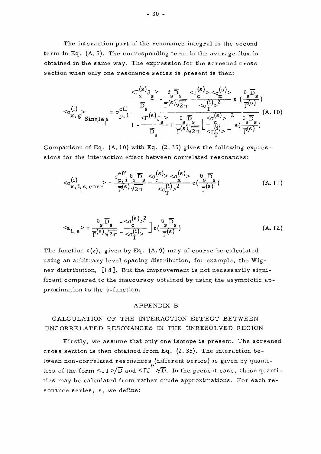The interaction part of the resonance integral is the second term in Eq.  $(A, 5)$ . The corresponding term in the average flux is obtained in the same way. The expression for the screened cross section when only one resonance series is present is then:

$$
<_{\sigma_{x,g}^{(i)}}_{\text{single};s}>=\sigma_{p,i}^{\text{eff}}\frac{\frac{<\Gamma_{x,g}^{(s)}\text{y}_{s}}{\overline{D}}-\frac{\theta_{s}\overline{D}_{s}}{\Gamma^{(s)}\sqrt{2\pi}}\frac{<\sigma_{c}^{(s)}><\sigma_{x}^{(s)}>\epsilon}{<\sigma_{T}^{(i)}>^{2}}\epsilon\frac{(\frac{s}{\overline{D}_{s}})}{\Gamma^{(s)}}}{(\frac{s}{\overline{D}_{s}})^{2}})}\text{ (A. 10)}
$$

Comparison of Eq.  $(A. 10)$  with Eq.  $(2.35)$  gives the following expressions for the interaction effect between correlated resonances:

$$
\langle \sigma_{\mathbf{x},i,s,\text{corr}}^{(i)} \rangle = \frac{\sigma_{p,i}^{eff} \theta_{s} \overline{D}_{s}}{\overline{T}^{(s)} \sqrt{2\pi}} \frac{\langle \sigma_{\mathbf{x}}^{(s)} \rangle \langle \sigma_{\mathbf{x}}^{(s)} \rangle}{\langle \sigma_{\mathbf{T}}^{(i)} \rangle^{2}} \varepsilon \left( \frac{\theta_{s} \overline{D}_{s}}{\overline{T}^{(s)}} \right)
$$
(A. 11)

$$
\langle a_{i, s} \rangle = \frac{\theta_s \overline{D}_s}{\overline{T}^{(s)} \sqrt{2\pi}} \left[ \frac{\langle \sigma_c^{(s)} \rangle^2}{\langle \sigma_T^{(i)} \rangle} \right] \varepsilon \left( \frac{\theta_s \overline{D}_s}{\overline{T}^{(s)}} \right) \tag{A.12}
$$

The function  $\varepsilon(z)$ , given by Eq. (A.9) may of course be calculated using an arbitrary level spacing distribution, for example, the Wigner distribution, [18]. But the improvement is not necessarily significant compared to the inaccuracy obtained by using the asymptotic approximation to the  $\psi$ -function.

#### APPENDIX B

# CALCULATION OF THE INTERACTION EFFECT BETWEEN UNCORRELATED RESONANCES IN THE UNRESOLVED REGION

Firstly, we assume that only one isotope is present. The screened cross section is then obtained from Eq.  $(2.35)$ . The interaction between non-correlated resonances (different series) is given by quantities of the form  $\langle \Gamma J \rangle / \overline{D}$  and  $\langle \Gamma J \rangle / \overline{D}$ . In the present case, these quantities may be calculated from rather crude approximations. For each resonance series, s, we define: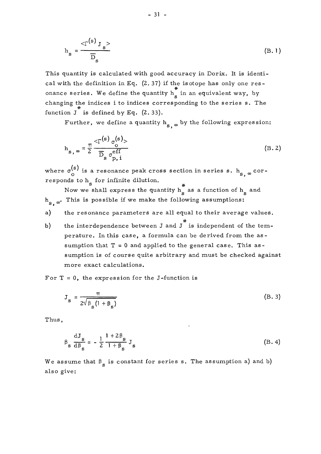$$
h_s = \frac{2\Gamma(s)}{D_s} \tag{B.1}
$$

This quantity is calculated with good accuracy in Dorix. It is identical with the definition in Eq. (2. 37) if the isotope has only one res onance series. We define the quantity h<sub>s</sub> in an equivalent way, by changing the indices i to indices corresponding to the series s. The function  $J^*$  is defined by Eq. (2.33).

Further, we define a quantity  $h_{s, \infty}$  by the following expression:

$$
h_{s, \infty} = \frac{\pi}{2} \frac{\langle \Gamma^{(s)} \sigma^{(s)} \rangle}{\overline{D}_s \sigma^{eff}_{p, i}}
$$
(B. 2)

where  $\sigma_{\rm o}^{\rm (S)}$  is a resonance peak cross section in series s.  ${\rm h}_{\rm s,~\infty}$  corresponds to  $h_{\rm g}$  for infinite dilution.

s<br>Now we shall express the quantity  $h_s^*$  as a function of  $h_s$  and  $h_{\rm c}$  . This is possible if we make the following assumptions:

- a) the resonance parameters are all equal to their average values.
- b) the interdependence between J and J is independent of the temperature. In this case, a formula can be derived from the assumption that  $T = 0$  and applied to the general case. This assumption is of course quite arbitrary and must be checked against more exact calculations.

For  $T = 0$ , the expression for the J-function is

$$
J_s = \frac{\pi}{2\sqrt{\beta_s (1 + \beta_s)}}
$$
 (B. 3)

Thus,

$$
\beta_{\rm s} \frac{\rm dJ_{\rm s}}{\rm d\beta_{\rm s}} = -\frac{1}{2} \frac{1+2\beta_{\rm s}}{1+\beta_{\rm s}} J_{\rm s}
$$
 (B. 4)

We assume that  $\beta_{s}$  is constant for series s. The assumption a) and b) also give: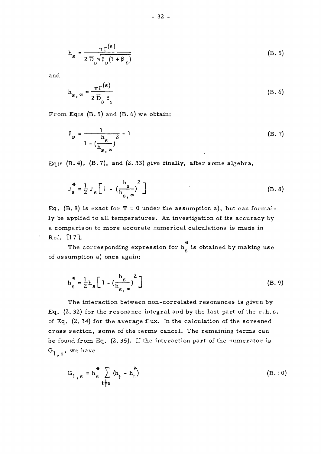$$
h_{s} = \frac{\pi \Gamma^{(s)}}{2 \overline{D}_{s} \sqrt{\beta_{s} (1 + \beta_{s})}}
$$
(B. 5)

and

$$
h_{s,\infty} = \frac{\pi \Gamma^{(s)}}{2 \overline{D}_s \beta_s} \tag{B.6}
$$

From Eq:s (B. 5) and (B. 6) we obtain:

$$
\beta_{\rm s} = \frac{1}{1 - \left(\frac{\rm s}{\rm h}_{\rm s, \infty}\right)^2} - 1\tag{B. 7}
$$

Eq:s  $(B.4)$ ,  $(B.7)$ , and  $(2.33)$  give finally, after some algebra,

$$
J_s^* = \frac{1}{2} J_s \left[ 1 - \left( \frac{h_s}{h_{s,\infty}} \right)^2 \right]
$$
 (B. 8)

Eq. (B. 8) is exact for  $T = 0$  under the assumption a), but can formally be applied to all temperatures. An investigation of its accuracy by a comparison to more accurate numerical calculations is made in Ref. [17].

# The corresponding expression for  $\mathbf{s}$  and  $\mathbf{s}$  and  $\mathbf{s}$  and  $\mathbf{s}$  and  $\mathbf{s}$  and  $\mathbf{s}$  and  $\mathbf{s}$  and  $\mathbf{s}$  and  $\mathbf{s}$  and  $\mathbf{s}$  and  $\mathbf{s}$  and  $\mathbf{s}$  and  $\mathbf{s}$  and  $\mathbf{s}$  and  $\mathbf{s}$  and  $\mathbf{s}$ 

$$
h_s^* = \frac{1}{2} h_s \left[ 1 - \left( \frac{h_s}{h_s} \right)^2 \right]
$$
 (B. 9)

The interaction between non-correlated resonances is given by Eq.  $(2.32)$  for the resonance integral and by the last part of the r.h.s. of Eq. (2. 34) for the average flux. In the calculation of the screened cross section, some of the terms cancel. The remaining terms can be found from Eq. (2. 35). If the interaction part of the numerator is  $G_{1, s}$ , we have

$$
G_{1,s} = h_s^* \sum_{t \neq s} (h_t - h_t^*)
$$
 (B.10)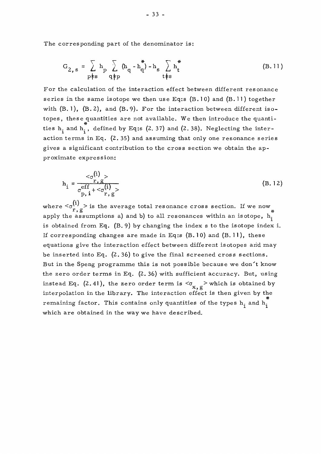The corresponding part of the denominator is:

$$
G_{2, s} = \sum_{p \nmid s} h_p \sum_{q \nmid p} (h_q - h_q^*) - h_s \sum_{t \nmid s} h_t^*
$$
 (B.11)

For the calculation of the interaction effect between different resonance series in the same isotope we then use Eq:s  $(B.10)$  and  $(B.11)$  together with  $(B. 1)$ ,  $(B. 2)$ , and  $(B. 9)$ . For the interaction between different isotopes, these quantities are not available. We then introduce the quanti ties  $h_i$  and  $h_i$ , defined by Eq:s (2.37) and (2.38). Neglecting the interaction terms in Eq. (2.35) and assuming that only one resonance series  $\frac{1}{2}$  and  $\frac{1}{2}$  and  $\frac{1}{2}$  and  $\frac{1}{2}$  and  $\frac{1}{2}$  and  $\frac{1}{2}$  and  $\frac{1}{2}$  and  $\frac{1}{2}$  and  $\frac{1}{2}$  and  $\frac{1}{2}$  and  $\frac{1}{2}$  and  $\frac{1}{2}$  and  $\frac{1}{2}$  and  $\frac{1}{2}$  and  $\frac{1}{2}$  and  $\frac{1}{2}$  a  $\sigma$  significant contribution to the cross section we obtain the approximation we obtain the approximation  $\mathbf{r}_1$ proximate expression:

$$
h_{i} = \frac{c_{\sigma}(i) >}{\frac{r_{i}g}{p_{i}i} + c_{\sigma}(i) >}
$$
(B. 12)

where  ${<} \sigma_{r, g}^{(i)}$  is the average total resonance cross section. If we now apply the assumptions a) and b) to all resonances within an isotope,  $h_i^{\uparrow}$ is obtained from Eq. (B. 9) by changing the index s to the isotope index i. If corresponding changes are made in Eq:s  $(B.10)$  and  $(B.11)$ , these equations give the interaction effect between different isotopes and may be inserted into Eq. (2. 36) to give the final screened cross sections. But in the Speng programme this is not possible because we don't know the zero order terms in Eq.  $(2.36)$  with sufficient accuracy. But, using instead Eq. (2.41), the zero order term is  $\langle \sigma_{\mathbf{x}, g} \rangle$  which is obtained by interpolation in the library. The interaction effect is then given by the remaining factor. This contains only quantities of the types  $h_i$  and  $h_i$ . which are obtained in the way we have described.